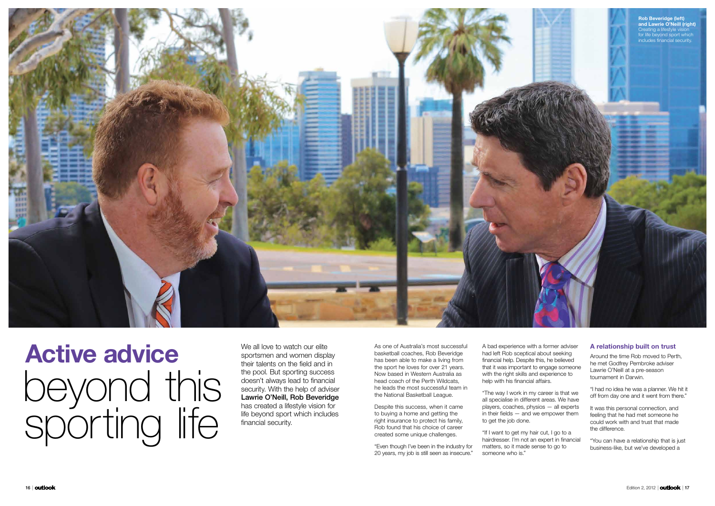As one of Australia's most successful basketball coaches, Rob Beveridge has been able to make a living from the sport he loves for over 21 years. Now based in Western Australia as head coach of the Perth Wildcats, he leads the most successful team in the National Basketball League.

A bad experience with a former adviser had left Rob sceptical about seeking financial help. Despite this, he believed that it was important to engage someone with the right skills and experience to help with his financial affairs.

Despite this success, when it came to buying a home and getting the right insurance to protect his family, Rob found that his choice of career created some unique challenges.

"Even though I've been in the industry for 20 years, my job is still seen as insecure." It was this personal connection, and feeling that he had met someone he could work with and trust that made the difference.

"The way I work in my career is that we all specialise in different areas. We have players, coaches, physios — all experts in their fields — and we empower them to get the job done.

We all love to watch our elite sportsmen and women display their talents on the field and in the pool. But sporting success doesn't always lead to financial security. With the help of adviser Lawrie O'Neill, Rob Beveridge has created a lifestyle vision for life beyond sport which includes financial security.

> "If I want to get my hair cut, I go to a hairdresser. I'm not an expert in financial matters, so it made sense to go to someone who is."

## A relationship built on trust

Around the time Rob moved to Perth, he met Godfrey Pembroke adviser Lawrie O'Neill at a pre-season tournament in Darwin.

"I had no idea he was a planner. We hit it off from day one and it went from there."

"You can have a relationship that is just business-like, but we've developed a

Active advice beyond this sporting life